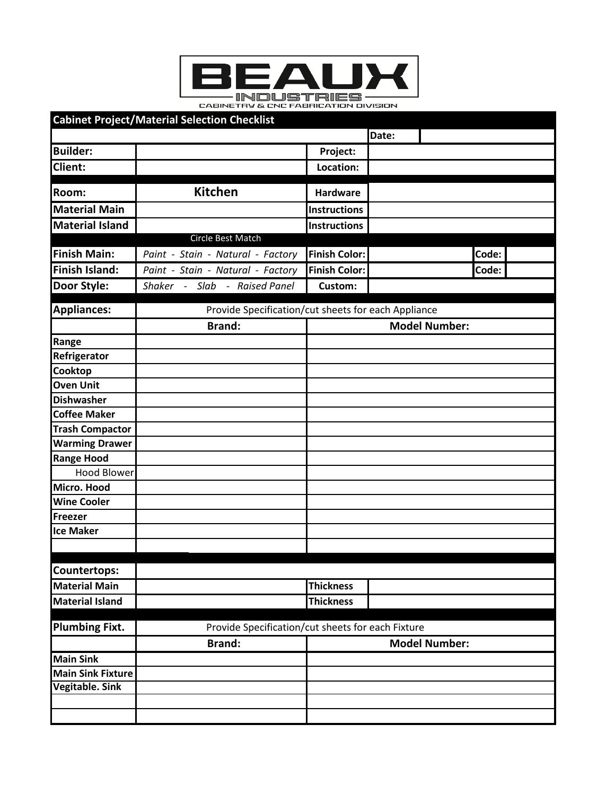

| <b>Cabinet Project/Material Selection Checklist</b>                        |                                                     |                      |       |       |  |
|----------------------------------------------------------------------------|-----------------------------------------------------|----------------------|-------|-------|--|
|                                                                            |                                                     |                      | Date: |       |  |
| <b>Builder:</b>                                                            |                                                     | Project:             |       |       |  |
| Client:                                                                    |                                                     | Location:            |       |       |  |
| Room:                                                                      | <b>Kitchen</b>                                      | <b>Hardware</b>      |       |       |  |
| <b>Material Main</b>                                                       |                                                     | Instructions         |       |       |  |
| <b>Material Island</b>                                                     |                                                     | <b>Instructions</b>  |       |       |  |
|                                                                            | Circle Best Match                                   |                      |       |       |  |
| <b>Finish Main:</b>                                                        | Paint - Stain - Natural - Factory                   | <b>Finish Color:</b> |       | Code: |  |
| Finish Island:                                                             | Paint - Stain - Natural - Factory                   | <b>Finish Color:</b> |       | Code: |  |
| <b>Door Style:</b>                                                         | Shaker - Slab - Raised Panel                        | Custom:              |       |       |  |
|                                                                            |                                                     |                      |       |       |  |
| <b>Appliances:</b>                                                         | Provide Specification/cut sheets for each Appliance |                      |       |       |  |
|                                                                            | <b>Brand:</b>                                       | <b>Model Number:</b> |       |       |  |
| Range                                                                      |                                                     |                      |       |       |  |
| Refrigerator                                                               |                                                     |                      |       |       |  |
| Cooktop                                                                    |                                                     |                      |       |       |  |
| <b>Oven Unit</b>                                                           |                                                     |                      |       |       |  |
| <b>Dishwasher</b>                                                          |                                                     |                      |       |       |  |
| <b>Coffee Maker</b>                                                        |                                                     |                      |       |       |  |
| <b>Trash Compactor</b>                                                     |                                                     |                      |       |       |  |
| <b>Warming Drawer</b>                                                      |                                                     |                      |       |       |  |
| <b>Range Hood</b>                                                          |                                                     |                      |       |       |  |
| <b>Hood Blower</b>                                                         |                                                     |                      |       |       |  |
| Micro. Hood                                                                |                                                     |                      |       |       |  |
| <b>Wine Cooler</b>                                                         |                                                     |                      |       |       |  |
| Freezer                                                                    |                                                     |                      |       |       |  |
| <b>Ice Maker</b>                                                           |                                                     |                      |       |       |  |
|                                                                            |                                                     |                      |       |       |  |
| <b>Countertops:</b>                                                        |                                                     |                      |       |       |  |
| <b>Material Main</b>                                                       |                                                     | <b>Thickness</b>     |       |       |  |
| <b>Material Island</b>                                                     |                                                     | <b>Thickness</b>     |       |       |  |
|                                                                            |                                                     |                      |       |       |  |
| <b>Plumbing Fixt.</b><br>Provide Specification/cut sheets for each Fixture |                                                     |                      |       |       |  |
|                                                                            | <b>Brand:</b>                                       | <b>Model Number:</b> |       |       |  |
| <b>Main Sink</b>                                                           |                                                     |                      |       |       |  |
| Main Sink Fixture                                                          |                                                     |                      |       |       |  |
| <b>Vegitable. Sink</b>                                                     |                                                     |                      |       |       |  |
|                                                                            |                                                     |                      |       |       |  |
|                                                                            |                                                     |                      |       |       |  |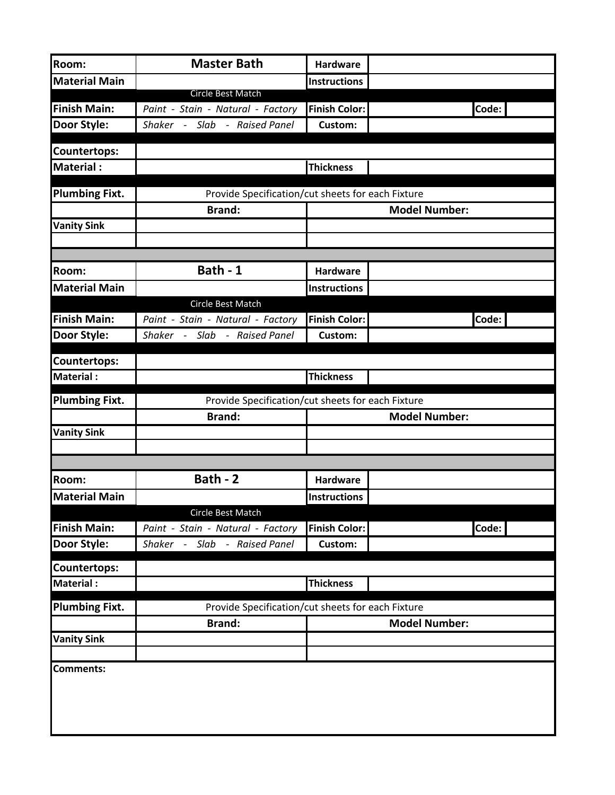| Room:                 | <b>Master Bath</b>                                     | Hardware             |                      |
|-----------------------|--------------------------------------------------------|----------------------|----------------------|
| <b>Material Main</b>  |                                                        | <b>Instructions</b>  |                      |
|                       | Circle Best Match                                      |                      |                      |
| <b>Finish Main:</b>   | Paint - Stain - Natural - Factory                      | <b>Finish Color:</b> | Code:                |
| <b>Door Style:</b>    | Shaker - Slab - Raised Panel                           | <b>Custom:</b>       |                      |
| <b>Countertops:</b>   |                                                        |                      |                      |
| Material :            |                                                        | <b>Thickness</b>     |                      |
| <b>Plumbing Fixt.</b> | Provide Specification/cut sheets for each Fixture      |                      |                      |
|                       | <b>Brand:</b>                                          |                      | <b>Model Number:</b> |
| <b>Vanity Sink</b>    |                                                        |                      |                      |
|                       |                                                        |                      |                      |
| <b>Room:</b>          | Bath - 1                                               | Hardware             |                      |
| <b>Material Main</b>  |                                                        |                      |                      |
|                       | Circle Best Match                                      | <b>Instructions</b>  |                      |
| <b>Finish Main:</b>   | Paint - Stain - Natural - Factory                      | <b>Finish Color:</b> | Code:                |
| <b>Door Style:</b>    | Shaker - Slab - Raised Panel                           | Custom:              |                      |
|                       |                                                        |                      |                      |
| <b>Countertops:</b>   |                                                        |                      |                      |
| <b>Material:</b>      |                                                        | <b>Thickness</b>     |                      |
| <b>Plumbing Fixt.</b> | Provide Specification/cut sheets for each Fixture      |                      |                      |
|                       | <b>Brand:</b>                                          |                      | <b>Model Number:</b> |
| <b>Vanity Sink</b>    |                                                        |                      |                      |
|                       |                                                        |                      |                      |
|                       |                                                        |                      |                      |
| <b>Room:</b>          | Bath - 2                                               | Hardware             |                      |
| <b>Material Main</b>  |                                                        | <b>Instructions</b>  |                      |
| <b>Finish Main:</b>   | Circle Best Match<br>Paint - Stain - Natural - Factory | <b>Finish Color:</b> | Code:                |
| <b>Door Style:</b>    | Shaker - Slab - Raised Panel                           | <b>Custom:</b>       |                      |
|                       |                                                        |                      |                      |
| <b>Countertops:</b>   |                                                        |                      |                      |
| <b>Material:</b>      |                                                        | <b>Thickness</b>     |                      |
| <b>Plumbing Fixt.</b> | Provide Specification/cut sheets for each Fixture      |                      |                      |
|                       | <b>Brand:</b>                                          | <b>Model Number:</b> |                      |
| <b>Vanity Sink</b>    |                                                        |                      |                      |
|                       |                                                        |                      |                      |
| <b>Comments:</b>      |                                                        |                      |                      |
|                       |                                                        |                      |                      |
|                       |                                                        |                      |                      |
|                       |                                                        |                      |                      |
|                       |                                                        |                      |                      |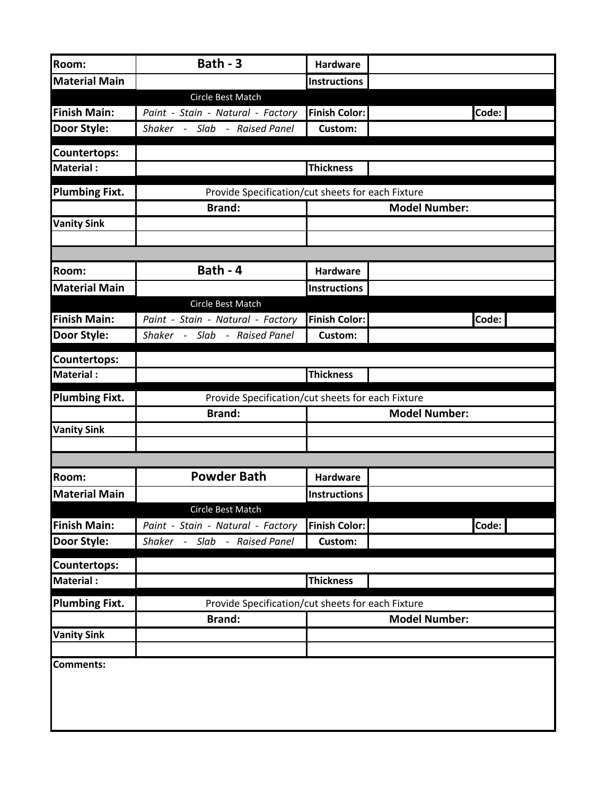| Room:                                   | Bath - 3                                          | <b>Hardware</b>      |                      |
|-----------------------------------------|---------------------------------------------------|----------------------|----------------------|
| <b>Material Main</b>                    |                                                   | <b>Instructions</b>  |                      |
|                                         | Circle Best Match                                 |                      |                      |
| <b>Finish Main:</b>                     | Paint - Stain - Natural - Factory                 | <b>Finish Color:</b> | Code:                |
| <b>Door Style:</b>                      | Shaker - Slab - Raised Panel                      | <b>Custom:</b>       |                      |
| <b>Countertops:</b>                     |                                                   |                      |                      |
| <b>Material:</b>                        |                                                   | <b>Thickness</b>     |                      |
| <b>Plumbing Fixt.</b>                   | Provide Specification/cut sheets for each Fixture |                      |                      |
|                                         | <b>Brand:</b>                                     |                      | <b>Model Number:</b> |
| <b>Vanity Sink</b>                      |                                                   |                      |                      |
|                                         |                                                   |                      |                      |
|                                         |                                                   |                      |                      |
| Room:                                   | Bath - 4                                          | <b>Hardware</b>      |                      |
| <b>Material Main</b>                    |                                                   | <b>Instructions</b>  |                      |
|                                         | Circle Best Match                                 |                      |                      |
| <b>Finish Main:</b>                     | Paint - Stain - Natural - Factory                 | <b>Finish Color:</b> | Code:                |
| <b>Door Style:</b>                      | Shaker - Slab - Raised Panel                      | Custom:              |                      |
| Countertops:                            |                                                   |                      |                      |
| <b>Material:</b>                        |                                                   | <b>Thickness</b>     |                      |
| <b>Plumbing Fixt.</b>                   | Provide Specification/cut sheets for each Fixture |                      |                      |
|                                         | <b>Brand:</b>                                     |                      | <b>Model Number:</b> |
| <b>Vanity Sink</b>                      |                                                   |                      |                      |
|                                         |                                                   |                      |                      |
|                                         | <b>Powder Bath</b>                                |                      |                      |
| Room:                                   |                                                   | <b>Hardware</b>      |                      |
| <b>Material Main</b>                    | Circle Best Match                                 | <b>Instructions</b>  |                      |
| <b>Finish Main:</b>                     | Paint - Stain - Natural - Factory                 | <b>Finish Color:</b> | Code:                |
| <b>Door Style:</b>                      | Shaker -<br>- Raised Panel<br>Slab                | Custom:              |                      |
|                                         |                                                   |                      |                      |
| <b>Countertops:</b><br><b>Material:</b> |                                                   | <b>Thickness</b>     |                      |
|                                         |                                                   |                      |                      |
| Plumbing Fixt.                          | Provide Specification/cut sheets for each Fixture |                      |                      |
|                                         | <b>Brand:</b>                                     | <b>Model Number:</b> |                      |
| <b>Vanity Sink</b>                      |                                                   |                      |                      |
| <b>Comments:</b>                        |                                                   |                      |                      |
|                                         |                                                   |                      |                      |
|                                         |                                                   |                      |                      |
|                                         |                                                   |                      |                      |
|                                         |                                                   |                      |                      |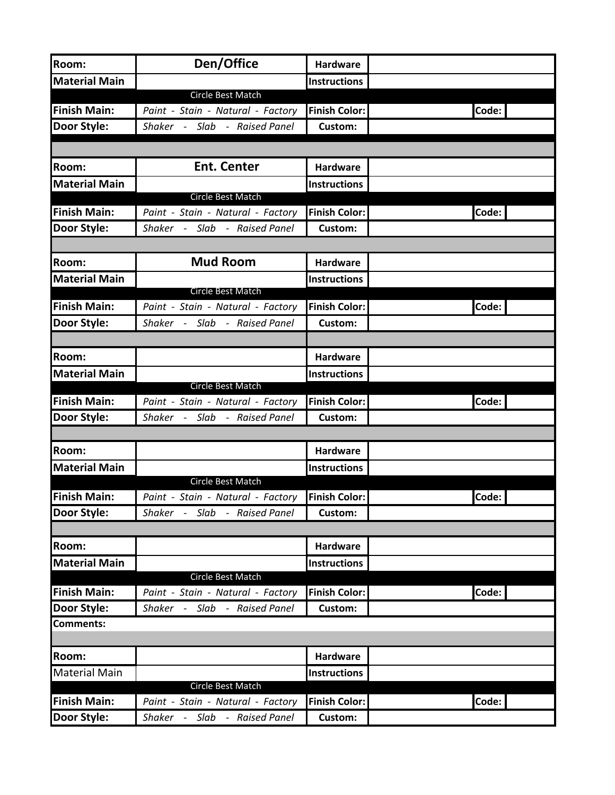| Room:                | Den/Office                        | <b>Hardware</b>      |       |
|----------------------|-----------------------------------|----------------------|-------|
| <b>Material Main</b> |                                   | <b>Instructions</b>  |       |
|                      | Circle Best Match                 |                      |       |
| <b>Finish Main:</b>  | Paint - Stain - Natural - Factory | <b>Finish Color:</b> | Code: |
| <b>Door Style:</b>   | Shaker - Slab - Raised Panel      | <b>Custom:</b>       |       |
|                      |                                   |                      |       |
| Room:                | <b>Ent. Center</b>                | <b>Hardware</b>      |       |
| <b>Material Main</b> |                                   | <b>Instructions</b>  |       |
|                      | <b>Circle Best Match</b>          |                      |       |
| <b>Finish Main:</b>  | Paint - Stain - Natural - Factory | <b>Finish Color:</b> | Code: |
| Door Style:          | Shaker - Slab - Raised Panel      | Custom:              |       |
|                      |                                   |                      |       |
| Room:                | <b>Mud Room</b>                   | <b>Hardware</b>      |       |
| <b>Material Main</b> |                                   | <b>Instructions</b>  |       |
|                      | <b>Circle Best Match</b>          |                      |       |
| <b>Finish Main:</b>  | Paint - Stain - Natural - Factory | <b>Finish Color:</b> | Code: |
| <b>Door Style:</b>   | Shaker - Slab - Raised Panel      | <b>Custom:</b>       |       |
|                      |                                   |                      |       |
| <b>Room:</b>         |                                   | <b>Hardware</b>      |       |
| <b>Material Main</b> |                                   | <b>Instructions</b>  |       |
|                      | Circle Best Match                 |                      |       |
| <b>Finish Main:</b>  | Paint - Stain - Natural - Factory | <b>Finish Color:</b> | Code: |
| <b>Door Style:</b>   | Shaker - Slab - Raised Panel      | <b>Custom:</b>       |       |
|                      |                                   |                      |       |
| Room:                |                                   | <b>Hardware</b>      |       |
| <b>Material Main</b> |                                   | <b>Instructions</b>  |       |
|                      | Circle Best Match                 |                      |       |
| Finish Main:         | Paint - Stain - Natural - Factory | <b>Finish Color:</b> | Code: |
| Door Style:          | Shaker - Slab - Raised Panel      | <b>Custom:</b>       |       |
|                      |                                   |                      |       |
| <b>Room:</b>         |                                   | <b>Hardware</b>      |       |
| <b>Material Main</b> |                                   | <b>Instructions</b>  |       |
|                      | Circle Best Match                 |                      |       |
| <b>Finish Main:</b>  | Paint - Stain - Natural - Factory | <b>Finish Color:</b> | Code: |
| <b>Door Style:</b>   | Shaker - Slab - Raised Panel      | <b>Custom:</b>       |       |
| <b>Comments:</b>     |                                   |                      |       |
| <b>Room:</b>         |                                   | <b>Hardware</b>      |       |
| <b>Material Main</b> |                                   | <b>Instructions</b>  |       |
|                      | Circle Best Match                 |                      |       |
| <b>Finish Main:</b>  | Paint - Stain - Natural - Factory | <b>Finish Color:</b> | Code: |
| <b>Door Style:</b>   | Shaker - Slab - Raised Panel      | Custom:              |       |